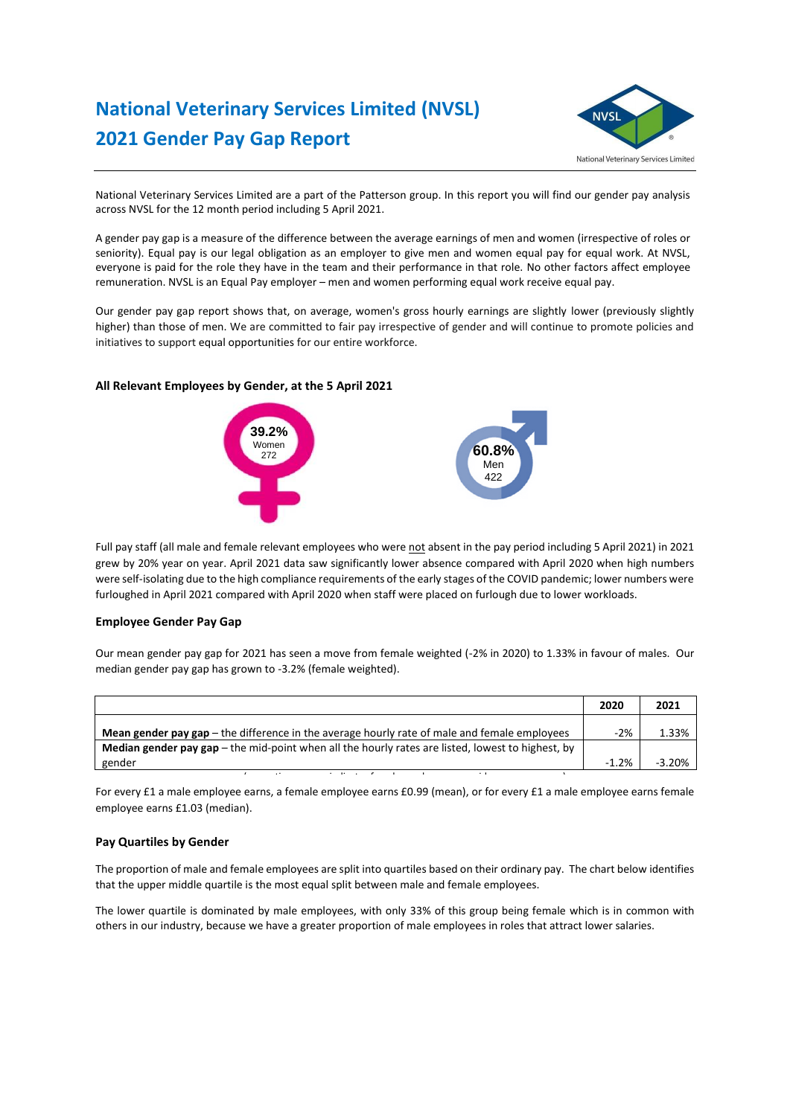# **National Veterinary Services Limited (NVSL) 2021 Gender Pay Gap Report**



National Veterinary Services Limited are a part of the Patterson group. In this report you will find our gender pay analysis across NVSL for the 12 month period including 5 April 2021.

A gender pay gap is a measure of the difference between the average earnings of men and women (irrespective of roles or seniority). Equal pay is our legal obligation as an employer to give men and women equal pay for equal work. At NVSL, everyone is paid for the role they have in the team and their performance in that role. No other factors affect employee remuneration. NVSL is an Equal Pay employer – men and women performing equal work receive equal pay.

Our gender pay gap report shows that, on average, women's gross hourly earnings are slightly lower (previously slightly higher) than those of men. We are committed to fair pay irrespective of gender and will continue to promote policies and initiatives to support equal opportunities for our entire workforce.

### **All Relevant Employees by Gender, at the 5 April 2021**



Full pay staff (all male and female relevant employees who were not absent in the pay period including 5 April 2021) in 2021 grew by 20% year on year. April 2021 data saw significantly lower absence compared with April 2020 when high numbers were self-isolating due to the high compliance requirements of the early stages of the COVID pandemic; lower numbers were furloughed in April 2021 compared with April 2020 when staff were placed on furlough due to lower workloads.

#### **Employee Gender Pay Gap**

Our mean gender pay gap for 2021 has seen a move from female weighted (-2% in 2020) to 1.33% in favour of males. Our median gender pay gap has grown to -3.2% (female weighted).

|                                                                                                          | 2020    | 2021     |
|----------------------------------------------------------------------------------------------------------|---------|----------|
| <b>Mean gender pay gap</b> $-$ the difference in the average hourly rate of male and female employees    | $-2%$   | 1.33%    |
| <b>Median gender pay gap</b> – the mid-point when all the hourly rates are listed, lowest to highest, by |         |          |
| gender                                                                                                   | $-1.2%$ | $-3.20%$ |

For every £1 a male employee earns, a female employee earns £0.99 (mean), or for every £1 a male employee earns female employee earns £1.03 (median).

(a negative pay gap indicates female employees are paid more on average)

#### **Pay Quartiles by Gender**

The proportion of male and female employees are split into quartiles based on their ordinary pay. The chart below identifies that the upper middle quartile is the most equal split between male and female employees.

The lower quartile is dominated by male employees, with only 33% of this group being female which is in common with others in our industry, because we have a greater proportion of male employees in roles that attract lower salaries.